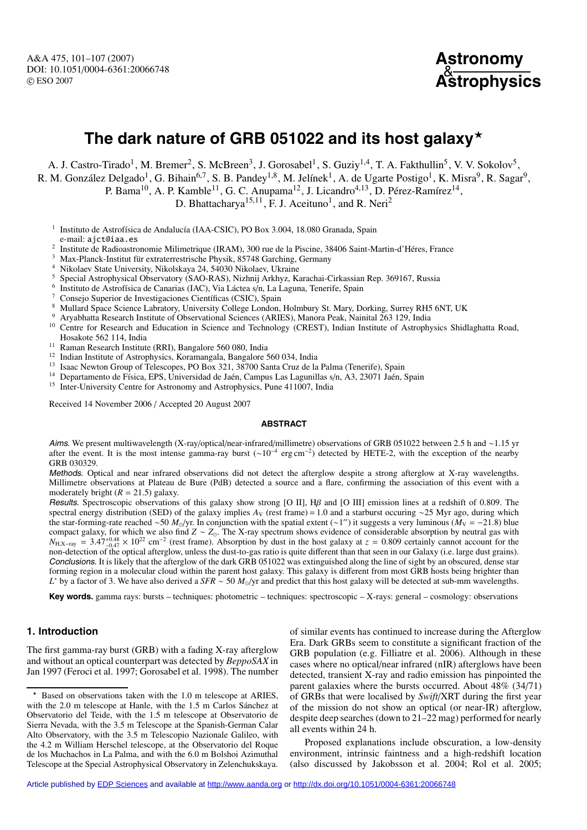A&A 475, 101–107 (2007) DOI: 10.1051/0004-6361:20066748 c ESO 2007

```
Astronomy
&
  Astrophysics
```
# **The dark nature of GRB 051022 and its host galaxy**

A. J. Castro-Tirado<sup>1</sup>, M. Bremer<sup>2</sup>, S. McBreen<sup>3</sup>, J. Gorosabel<sup>1</sup>, S. Guziy<sup>1,4</sup>, T. A. Fakthullin<sup>5</sup>, V. V. Sokolov<sup>5</sup>,

R. M. González Delgado<sup>1</sup>, G. Bihain<sup>6,7</sup>, S. B. Pandey<sup>1,8</sup>, M. Jelínek<sup>1</sup>, A. de Ugarte Postigo<sup>1</sup>, K. Misra<sup>9</sup>, R. Sagar<sup>9</sup>,

P. Bama<sup>10</sup>, A. P. Kamble<sup>11</sup>, G. C. Anupama<sup>12</sup>, J. Licandro<sup>4,13</sup>, D. Pérez-Ramírez<sup>14</sup>,

D. Bhattacharya<sup>15,11</sup>, F. J. Aceituno<sup>1</sup>, and R. Neri<sup>2</sup>

<sup>1</sup> Instituto de Astrofísica de Andalucía (IAA-CSIC), PO Box 3.004, 18.080 Granada, Spain

e-mail: ajct@iaa.es<br>
<sup>2</sup> Institute de Radioastronomie Milimetrique (IRAM), 300 rue de la Piscine, 38406 Saint-Martin-d'Héres, France<br>
<sup>3</sup> Max-Planck-Institut für extraterrestrische Physik, 85748 Garching, Germany<br>
<sup>4</sup> Niko

<sup>5</sup> Special Astrophysical Observatory (SAO-RAS), Nizhnij Arkhyz, Karachai-Cirkassian Rep. 369167, Russia<br><sup>6</sup> Institute de Astrofísias de Constituto (JAC), Via Légtes s/p. Le Legune, Tongrife, Spein

<sup>6</sup> Instituto de Astrofísica de Canarias (IAC), Via Láctea s/n, La Laguna, Tenerife, Spain <sup>7</sup> Consejo Superior de Investigaciones Científicas (CSIC), Spain  $\frac{8}{10}$  Mullerd Space Science Labratory, University College L

- 
- <sup>8</sup> Mullard Space Science Labratory, University College London, Holmbury St. Mary, Dorking, Surrey RH5 6NT, UK
- <sup>9</sup> Aryabhatta Research Institute of Observational Sciences (ARIES), Manora Peak, Nainital 263 129, India
- <sup>10</sup> Centre for Research and Education in Science and Technology (CREST), Indian Institute of Astrophysics Shidlaghatta Road, Hosakote 562 114, India
- <sup>11</sup> Raman Research Institute (RRI), Bangalore 560 080, India
- <sup>12</sup> Indian Institute of Astrophysics, Koramangala, Bangalore 560 034, India<br><sup>13</sup> Issae Nouten Group of Telescopes, BO Box 321, 38700 Septe Gruz da la
- <sup>13</sup> Isaac Newton Group of Telescopes, PO Box 321, 38700 Santa Cruz de la Palma (Tenerife), Spain<br><sup>14</sup> Departmente de Essise, EDS, Universided de Jaén. Compue Les Laquailles e/p. A2, 22071, Jaén.
- <sup>14</sup> Departamento de Física, EPS, Universidad de Jaén, Campus Las Lagunillas s/n, A3, 23071 Jaén, Spain <sup>15</sup> Inter-University Centre for Astronomy and Astrophysics, Pune 411007, India

Received 14 November 2006 / Accepted 20 August 2007

## **ABSTRACT**

Aims. We present multiwavelength (X-ray/optical/near-infrared/millimetre) observations of GRB 051022 between 2.5 h and ∼1.15 yr after the event. It is the most intense gamma-ray burst (∼10<sup>−4</sup> erg cm<sup>−2</sup>) detected by HETE-2, with the exception of the nearby GRB 030329.

Methods. Optical and near infrared observations did not detect the afterglow despite a strong afterglow at X-ray wavelengths. Millimetre observations at Plateau de Bure (PdB) detected a source and a flare, confirming the association of this event with a moderately bright  $(R = 21.5)$  galaxy.

Results. Spectroscopic observations of this galaxy show strong [O II], Hβ and [O III] emission lines at a redshift of 0.809. The spectral energy distribution (SED) of the galaxy implies *A*<sub>V</sub> (rest frame) = 1.0 and a starburst occuring ∼25 Myr ago, during which the star-forming-rate reached ∼50 *M*<sub>⊙</sub>/yr. In conjunction with the spatial extent (∼1") it suggests a very luminous ( $\dot{M}_V$  = −21.8) blue compact galaxy, for which we also find *Z* ∼ *Z*<sub>o</sub>. The X-ray spectrum shows evidence of considerable absorption by neutral gas with  $N_{\text{H,X-ray}} = 3.47_{-0.47}^{+0.48} \times 10^{22} \text{ cm}^{-2}$  (rest frame). Absorption by dust in the host galaxy at *z* = 0.809 certainly cannot account for the non-detection of the optical afterglow, unless the dust-to-gas ratio is quite different than that seen in our Galaxy (i.e. large dust grains). Conclusions. It is likely that the afterglow of the dark GRB 051022 was extinguished along the line of sight by an obscured, dense star forming region in a molecular cloud within the parent host galaxy. This galaxy is different from most GRB hosts being brighter than *L*<sup>∗</sup> by a factor of 3. We have also derived a *SFR* ∼ 50 *M*<sub>○</sub>/yr and predict that this host galaxy will be detected at sub-mm wavelengths.

**Key words.** gamma rays: bursts – techniques: photometric – techniques: spectroscopic – X-rays: general – cosmology: observations

# **1. Introduction**

The first gamma-ray burst (GRB) with a fading X-ray afterglow and without an optical counterpart was detected by *BeppoSAX* in Jan 1997 (Feroci et al. 1997; Gorosabel et al. 1998). The number of similar events has continued to increase during the Afterglow Era. Dark GRBs seem to constitute a significant fraction of the GRB population (e.g. Filliatre et al. 2006). Although in these cases where no optical/near infrared (nIR) afterglows have been detected, transient X-ray and radio emission has pinpointed the parent galaxies where the bursts occurred. About 48% (34/71) of GRBs that were localised by *Swift*/XRT during the first year of the mission do not show an optical (or near-IR) afterglow, despite deep searches (down to 21–22 mag) performed for nearly all events within 24 h.

Proposed explanations include obscuration, a low-density environment, intrinsic faintness and a high-redshift location (also discussed by Jakobsson et al. 2004; Rol et al. 2005;

Article published by [EDP Sciences](http://www.edpsciences.org) and available at<http://www.aanda.org>or<http://dx.doi.org/10.1051/0004-6361:20066748>

<sup>-</sup> Based on observations taken with the 1.0 m telescope at ARIES, with the 2.0 m telescope at Hanle, with the 1.5 m Carlos Sánchez at Observatorio del Teide, with the 1.5 m telescope at Observatorio de Sierra Nevada, with the 3.5 m Telescope at the Spanish-German Calar Alto Observatory, with the 3.5 m Telescopio Nazionale Galileo, with the 4.2 m William Herschel telescope, at the Observatorio del Roque de los Muchachos in La Palma, and with the 6.0 m Bolshoi Azimuthal Telescope at the Special Astrophysical Observatory in Zelenchukskaya.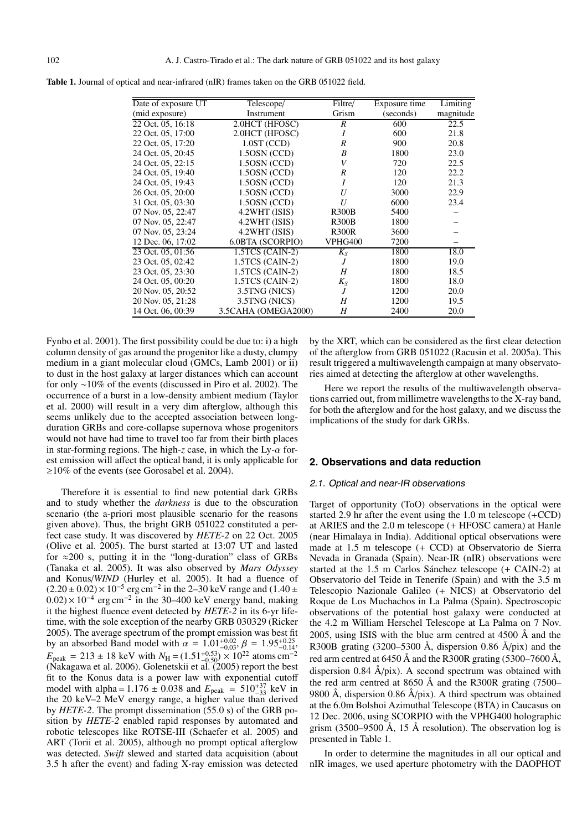| Date of exposure UT | Telescope/          | Filtre/        | Exposure time | Limiting  |
|---------------------|---------------------|----------------|---------------|-----------|
| (mid exposure)      | Instrument          | Grism          | (seconds)     | magnitude |
| 22 Oct. 05, 16:18   | 2.0HCT (HFOSC)      | R              | 600           | 22.5      |
| 22 Oct. 05, 17:00   | 2.0HCT (HFOSC)      | Ι              | 600           | 21.8      |
| 22 Oct. 05, 17:20   | $1.0ST$ (CCD)       | R              | 900           | 20.8      |
| 24 Oct. 05, 20:45   | $1.50$ SN (CCD)     | B              | 1800          | 23.0      |
| 24 Oct. 05, 22:15   | $1.50$ SN (CCD)     | V              | 720           | 22.5      |
| 24 Oct. 05, 19:40   | 1.5OSN (CCD)        | R              | 120           | 22.2      |
| 24 Oct. 05, 19:43   | $1.50$ SN (CCD)     | I              | 120           | 21.3      |
| 26 Oct. 05, 20:00   | 1.50SN (CCD)        | U              | 3000          | 22.9      |
| 31 Oct. 05, 03:30   | 1.5OSN (CCD)        | U              | 6000          | 23.4      |
| 07 Nov. 05, 22:47   | 4.2WHT (ISIS)       | <b>R300B</b>   | 5400          |           |
| 07 Nov. 05, 22:47   | $4.2WHT$ (ISIS)     | <b>R300B</b>   | 1800          |           |
| 07 Nov. 05, 23:24   | 4.2WHT (ISIS)       | <b>R300R</b>   | 3600          |           |
| 12 Dec. 06, 17:02   | 6.0BTA (SCORPIO)    | VPHG400        | 7200          |           |
| 23 Oct. 05, 01:56   | $1.5TCS$ (CAIN-2)   | $K_S$          | 1800          | 18.0      |
| 23 Oct. 05, 02:42   | $1.5TCS$ (CAIN-2)   | $\overline{J}$ | 1800          | 19.0      |
| 23 Oct. 05, 23:30   | $1.5TCS$ (CAIN-2)   | H              | 1800          | 18.5      |
| 24 Oct. 05, 00:20   | $1.5TCS$ (CAIN-2)   | $K_{S}$        | 1800          | 18.0      |
| 20 Nov. 05, 20:52   | 3.5TNG (NICS)       | $\overline{J}$ | 1200          | 20.0      |
| 20 Nov. 05, 21:28   | 3.5TNG (NICS)       | Н              | 1200          | 19.5      |
| 14 Oct. 06, 00:39   | 3.5CAHA (OMEGA2000) | Η              | 2400          | 20.0      |

**Table 1.** Journal of optical and near-infrared (nIR) frames taken on the GRB 051022 field.

Fynbo et al. 2001). The first possibility could be due to: i) a high column density of gas around the progenitor like a dusty, clumpy medium in a giant molecular cloud (GMCs, Lamb 2001) or ii) to dust in the host galaxy at larger distances which can account for only ∼10% of the events (discussed in Piro et al. 2002). The occurrence of a burst in a low-density ambient medium (Taylor et al. 2000) will result in a very dim afterglow, although this seems unlikely due to the accepted association between longduration GRBs and core-collapse supernova whose progenitors would not have had time to travel too far from their birth places in star-forming regions. The high-*z* case, in which the Ly- $\alpha$  forest emission will affect the optical band, it is only applicable for ≥10% of the events (see Gorosabel et al. 2004).

Therefore it is essential to find new potential dark GRBs and to study whether the *darkness* is due to the obscuration scenario (the a-priori most plausible scenario for the reasons given above). Thus, the bright GRB 051022 constituted a perfect case study. It was discovered by *HETE-2* on 22 Oct. 2005 (Olive et al. 2005). The burst started at 13:07 UT and lasted for  $\approx$  200 s, putting it in the "long-duration" class of GRBs (Tanaka et al. 2005). It was also observed by *Mars Odyssey* and Konus/*WIND* (Hurley et al. 2005). It had a fluence of  $(2.20 \pm 0.02) \times 10^{-5}$  erg cm<sup>-2</sup> in the 2–30 keV range and (1.40 ±  $(0.02) \times 10^{-4}$  erg cm<sup>-2</sup> in the 30–400 keV energy band, making it the highest fluence event detected by *HETE-2* in its 6-yr lifetime, with the sole exception of the nearby GRB 030329 (Ricker 2005). The average spectrum of the prompt emission was best fit by an absorbed Band model with  $\alpha = 1.01_{-0.03}^{+0.02}$ ,  $\beta = 1.95_{-0.14}^{+0.25}$ ,  $E_{\text{peak}} = 213 \pm 18 \text{ keV}$  with  $N_{\text{H}} = (1.51^{+0.53}_{-0.50}) \times 10^{22}$  atoms cm<sup>-2</sup> (Nakagawa et al. 2006). Golenetskii et al. (2005) report the best fit to the Konus data is a power law with exponential cutoff model with alpha =  $1.176 \pm 0.038$  and  $E_{\text{peak}} = 510^{+37}_{-33}$  keV in the 20 keV–2 MeV energy range, a higher value than derived by *HETE-2*. The prompt dissemination (55.0 s) of the GRB position by *HETE-2* enabled rapid responses by automated and robotic telescopes like ROTSE-III (Schaefer et al. 2005) and ART (Torii et al. 2005), although no prompt optical afterglow was detected. *Swift* slewed and started data acquisition (about 3.5 h after the event) and fading X-ray emission was detected

by the XRT, which can be considered as the first clear detection of the afterglow from GRB 051022 (Racusin et al. 2005a). This result triggered a multiwavelength campaign at many observatories aimed at detecting the afterglow at other wavelengths.

Here we report the results of the multiwavelength observations carried out, from millimetre wavelengths to the X-ray band, for both the afterglow and for the host galaxy, and we discuss the implications of the study for dark GRBs.

# **2. Observations and data reduction**

#### 2.1. Optical and near-IR observations

Target of opportunity (ToO) observations in the optical were started 2.9 hr after the event using the 1.0 m telescope (+CCD) at ARIES and the 2.0 m telescope (+ HFOSC camera) at Hanle (near Himalaya in India). Additional optical observations were made at 1.5 m telescope (+ CCD) at Observatorio de Sierra Nevada in Granada (Spain). Near-IR (nIR) observations were started at the 1.5 m Carlos Sánchez telescope (+ CAIN-2) at Observatorio del Teide in Tenerife (Spain) and with the 3.5 m Telescopio Nazionale Galileo (+ NICS) at Observatorio del Roque de Los Muchachos in La Palma (Spain). Spectroscopic observations of the potential host galaxy were conducted at the 4.2 m William Herschel Telescope at La Palma on 7 Nov. 2005, using ISIS with the blue arm centred at  $4500 \text{ Å}$  and the R300B grating (3200–5300 Å, dispersion 0.86 Å/pix) and the red arm centred at 6450 Å and the R300R grating (5300–7600 Å, dispersion 0.84 Å/pix). A second spectrum was obtained with the red arm centred at 8650 Å and the R300R grating (7500– 9800 Å, dispersion 0.86 Å/pix). A third spectrum was obtained at the 6.0m Bolshoi Azimuthal Telescope (BTA) in Caucasus on 12 Dec. 2006, using SCORPIO with the VPHG400 holographic grism (3500–9500 Å, 15 Å resolution). The observation log is presented in Table 1.

In order to determine the magnitudes in all our optical and nIR images, we used aperture photometry with the DAOPHOT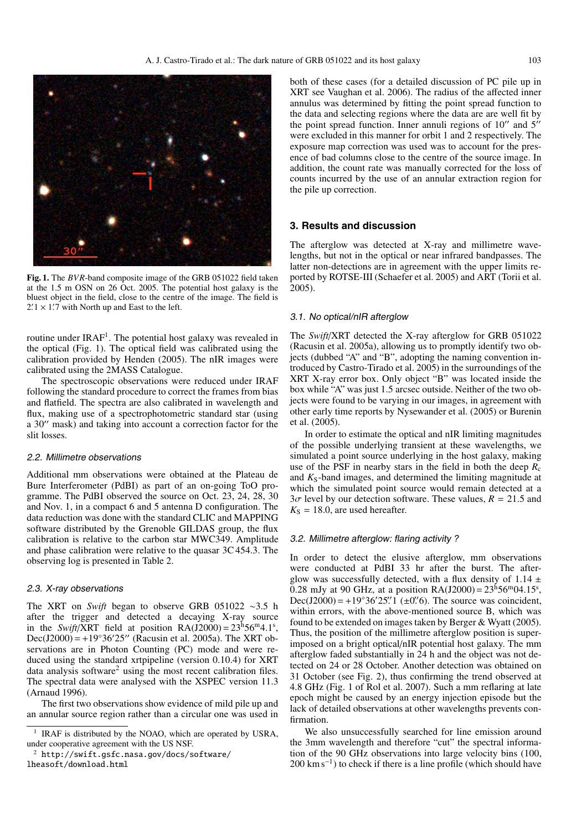

**Fig. 1.** The *BVR*-band composite image of the GRB 051022 field taken at the 1.5 m OSN on 26 Oct. 2005. The potential host galaxy is the bluest object in the field, close to the centre of the image. The field is  $2.1 \times 1.7$  with North up and East to the left.

routine under IRAF<sup>1</sup>. The potential host galaxy was revealed in the optical (Fig. 1). The optical field was calibrated using the calibration provided by Henden (2005). The nIR images were calibrated using the 2MASS Catalogue.

The spectroscopic observations were reduced under IRAF following the standard procedure to correct the frames from bias and flatfield. The spectra are also calibrated in wavelength and flux, making use of a spectrophotometric standard star (using a 30" mask) and taking into account a correction factor for the slit losses.

# 2.2. Millimetre observations

Additional mm observations were obtained at the Plateau de Bure Interferometer (PdBI) as part of an on-going ToO programme. The PdBI observed the source on Oct. 23, 24, 28, 30 and Nov. 1, in a compact 6 and 5 antenna D configuration. The data reduction was done with the standard CLIC and MAPPING software distributed by the Grenoble GILDAS group, the flux calibration is relative to the carbon star MWC349. Amplitude and phase calibration were relative to the quasar 3C 454.3. The observing log is presented in Table 2.

# 2.3. X-ray observations

The XRT on *Swift* began to observe GRB 051022 ∼3.5 h after the trigger and detected a decaying X-ray source in the *Swift*/XRT field at position  $RA(J2000) = 23^h56^m4.1^s$ , Dec(J2000) = +19°36′25″ (Racusin et al. 2005a). The XRT observations are in Photon Counting (PC) mode and were reduced using the standard xrtpipeline (version 0.10.4) for XRT data analysis software<sup>2</sup> using the most recent calibration files. The spectral data were analysed with the XSPEC version 11.3 (Arnaud 1996).

The first two observations show evidence of mild pile up and an annular source region rather than a circular one was used in

lheasoft/download.html

both of these cases (for a detailed discussion of PC pile up in XRT see Vaughan et al. 2006). The radius of the affected inner annulus was determined by fitting the point spread function to the data and selecting regions where the data are are well fit by the point spread function. Inner annuli regions of  $10''$  and  $5''$ were excluded in this manner for orbit 1 and 2 respectively. The exposure map correction was used was to account for the presence of bad columns close to the centre of the source image. In addition, the count rate was manually corrected for the loss of counts incurred by the use of an annular extraction region for the pile up correction.

#### **3. Results and discussion**

The afterglow was detected at X-ray and millimetre wavelengths, but not in the optical or near infrared bandpasses. The latter non-detections are in agreement with the upper limits reported by ROTSE-III (Schaefer et al. 2005) and ART (Torii et al. 2005).

#### 3.1. No optical/nIR afterglow

The *Swift*/XRT detected the X-ray afterglow for GRB 051022 (Racusin et al. 2005a), allowing us to promptly identify two objects (dubbed "A" and "B", adopting the naming convention introduced by Castro-Tirado et al. 2005) in the surroundings of the XRT X-ray error box. Only object "B" was located inside the box while "A" was just 1.5 arcsec outside. Neither of the two objects were found to be varying in our images, in agreement with other early time reports by Nysewander et al. (2005) or Burenin et al. (2005).

In order to estimate the optical and nIR limiting magnitudes of the possible underlying transient at these wavelengths, we simulated a point source underlying in the host galaxy, making use of the PSF in nearby stars in the field in both the deep *R*<sup>c</sup> and  $K<sub>S</sub>$ -band images, and determined the limiting magnitude at which the simulated point source would remain detected at a  $3\sigma$  level by our detection software. These values,  $R = 21.5$  and  $K<sub>S</sub> = 18.0$ , are used hereafter.

#### 3.2. Millimetre afterglow: flaring activity ?

In order to detect the elusive afterglow, mm observations were conducted at PdBI 33 hr after the burst. The afterglow was successfully detected, with a flux density of  $1.14 \pm$ 0.28 mJy at 90 GHz, at a position  $RA(J2000) = 23^{h}56^{m}04.15^{s}$ , Dec(J2000) = +19°36′25′′ 1 (±0′′ 6). The source was coincident, within errors, with the above-mentioned source B, which was found to be extended on images taken by Berger & Wyatt (2005). Thus, the position of the millimetre afterglow position is superimposed on a bright optical/nIR potential host galaxy. The mm afterglow faded substantially in 24 h and the object was not detected on 24 or 28 October. Another detection was obtained on 31 October (see Fig. 2), thus confirming the trend observed at 4.8 GHz (Fig. 1 of Rol et al. 2007). Such a mm reflaring at late epoch might be caused by an energy injection episode but the lack of detailed observations at other wavelengths prevents confirmation.

We also unsuccessfully searched for line emission around the 3mm wavelength and therefore "cut" the spectral information of the 90 GHz observations into large velocity bins (100,  $200 \text{ km s}^{-1}$ ) to check if there is a line profile (which should have

<sup>&</sup>lt;sup>1</sup> IRAF is distributed by the NOAO, which are operated by USRA, under cooperative agreement with the US NSF.

<sup>2</sup> http://swift.gsfc.nasa.gov/docs/software/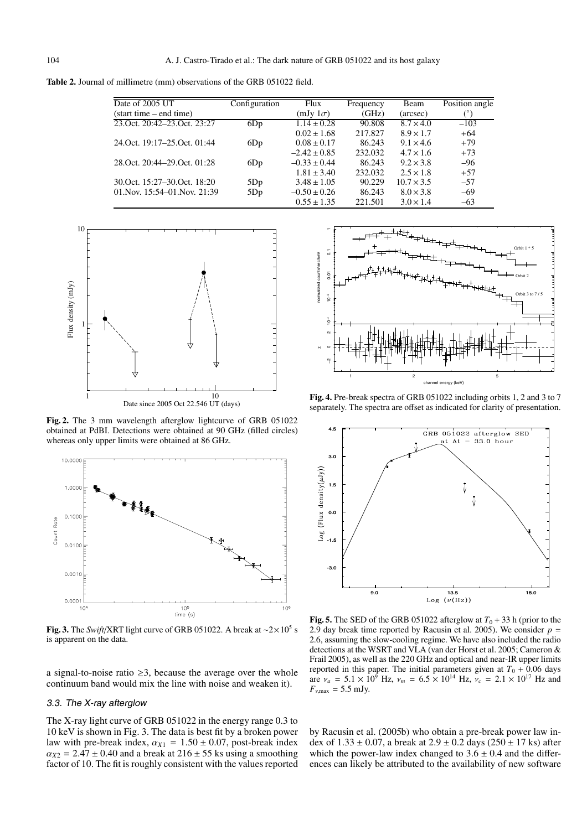**Table 2.** Journal of millimetre (mm) observations of the GRB 051022 field.

| Date of 2005 UT               | Configuration | Flux             | Frequency | Beam              | Position angle |
|-------------------------------|---------------|------------------|-----------|-------------------|----------------|
| (start time – end time)       |               | $(mJy1\sigma)$   | (GHz)     | (arcsec)          |                |
| 23. Oct. 20:42–23. Oct. 23:27 | 6Dp           | $1.14 \pm 0.28$  | 90.808    | $8.7 \times 4.0$  | $-103$         |
|                               |               | $0.02 \pm 1.68$  | 217.827   | $8.9 \times 1.7$  | $+64$          |
| 24. Oct. 19:17–25. Oct. 01:44 | 6Dp           | $0.08 \pm 0.17$  | 86.243    | $9.1 \times 4.6$  | $+79$          |
|                               |               | $-2.42 \pm 0.85$ | 232.032   | $4.7 \times 1.6$  | $+73$          |
| 28. Oct. 20:44–29. Oct. 01:28 | 6Dp           | $-0.33 \pm 0.44$ | 86.243    | $9.2 \times 3.8$  | $-96$          |
|                               |               | $1.81 \pm 3.40$  | 232.032   | $2.5 \times 1.8$  | $+57$          |
| 30. Oct. 15:27–30. Oct. 18:20 | 5Dp           | $3.48 \pm 1.05$  | 90.229    | $10.7 \times 3.5$ | $-57$          |
| 01. Nov. 15:54–01. Nov. 21:39 | 5Dp           | $-0.50 \pm 0.26$ | 86.243    | $8.0 \times 3.8$  | $-69$          |
|                               |               | $0.55 \pm 1.35$  | 221.501   | $3.0 \times 1.4$  | $-63$          |



**Fig. 2.** The 3 mm wavelength afterglow lightcurve of GRB 051022 obtained at PdBI. Detections were obtained at 90 GHz (filled circles) whereas only upper limits were obtained at 86 GHz.



**Fig. 3.** The *Swift*/XRT light curve of GRB 051022. A break at ∼2×105 s is apparent on the data.

a signal-to-noise ratio  $\geq$ 3, because the average over the whole continuum band would mix the line with noise and weaken it).

#### 3.3. The X-ray afterglow

The X-ray light curve of GRB 051022 in the energy range 0.3 to 10 keV is shown in Fig. 3. The data is best fit by a broken power law with pre-break index,  $\alpha_{X1} = 1.50 \pm 0.07$ , post-break index  $\alpha_{X2} = 2.47 \pm 0.40$  and a break at  $216 \pm 55$  ks using a smoothing factor of 10. The fit is roughly consistent with the values reported



**Fig. 4.** Pre-break spectra of GRB 051022 including orbits 1, 2 and 3 to 7 separately. The spectra are offset as indicated for clarity of presentation.



**Fig. 5.** The SED of the GRB 051022 afterglow at  $T_0 + 33$  h (prior to the 2.9 day break time reported by Racusin et al. 2005). We consider  $p =$ 2.6, assuming the slow-cooling regime. We have also included the radio detections at the WSRT and VLA (van der Horst et al. 2005; Cameron & Frail 2005), as well as the 220 GHz and optical and near-IR upper limits reported in this paper. The initial parameters given at  $T_0 + 0.06$  days are  $v_a = 5.1 \times 10^9$  Hz,  $v_m = 6.5 \times 10^{14}$  Hz,  $v_c = 2.1 \times 10^{17}$  Hz and  $F_{\nu, \text{max}} = 5.5 \text{ mJy}.$ 

by Racusin et al. (2005b) who obtain a pre-break power law index of  $1.33 \pm 0.07$ , a break at  $2.9 \pm 0.2$  days  $(250 \pm 17$  ks) after which the power-law index changed to  $3.6 \pm 0.4$  and the differences can likely be attributed to the availability of new software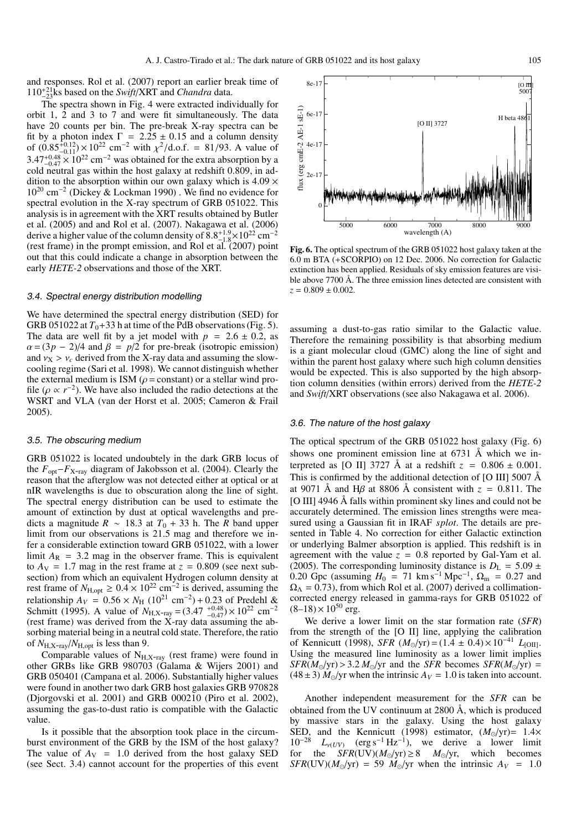and responses. Rol et al. (2007) report an earlier break time of 110<sup>+</sup><sup>21</sup> <sup>−</sup>23ks based on the *Swift*/XRT and *Chandra* data.

The spectra shown in Fig. 4 were extracted individually for orbit 1, 2 and 3 to 7 and were fit simultaneously. The data have 20 counts per bin. The pre-break X-ray spectra can be fit by a photon index  $\Gamma = 2.25 \pm 0.15$  and a column density of  $(0.85^{+0.12}_{-0.11}) \times 10^{22}$  cm<sup>-2</sup> with  $\chi^2/\text{d.o.f.} = 81/93$ . A value of  $3.47^{+0.48}_{-0.47} \times 10^{22}$  cm<sup>-2</sup> was obtained for the extra absorption by a cold neutral gas within the host galaxy at redshift 0.809, in addition to the absorption within our own galaxy which is  $4.09 \times$ 10<sup>20</sup> cm−<sup>2</sup> (Dickey & Lockman 1990) . We find no evidence for spectral evolution in the X-ray spectrum of GRB 051022. This analysis is in agreement with the XRT results obtained by Butler et al. (2005) and and Rol et al. (2007). Nakagawa et al. (2006) derive a higher value of the column density of  $8.8^{+1.9}_{-1.8} \times 10^{22}$  cm<sup>-2</sup>. The angle of the column density of  $3.6_{-1.8}$   $\times$  10  $\degree$  cm (rest frame) in the prompt emission, and Rol et al. (2007) point out that this could indicate a change in absorption between the early *HETE-2* observations and those of the XRT.

#### 3.4. Spectral energy distribution modelling

We have determined the spectral energy distribution (SED) for GRB 051022 at  $T_0+33$  h at time of the PdB observations (Fig. 5). The data are well fit by a jet model with  $p = 2.6 \pm 0.2$ , as  $\alpha = (3p - 2)/4$  and  $\beta = p/2$  for pre-break (isotropic emission) and  $v_X > v_c$  derived from the X-ray data and assuming the slowcooling regime (Sari et al. 1998). We cannot distinguish whether the external medium is ISM ( $\rho$  = constant) or a stellar wind profile ( $\rho \propto r^{-2}$ ). We have also included the radio detections at the WSRT and VLA (van der Horst et al. 2005; Cameron & Frail 2005).

#### 3.5. The obscuring medium

GRB 051022 is located undoubtely in the dark GRB locus of the *F*opt−*F*X-ray diagram of Jakobsson et al. (2004). Clearly the reason that the afterglow was not detected either at optical or at nIR wavelengths is due to obscuration along the line of sight. The spectral energy distribution can be used to estimate the amount of extinction by dust at optical wavelengths and predicts a magnitude  $R \sim 18.3$  at  $T_0 + 33$  h. The *R* band upper limit from our observations is 21.5 mag and therefore we infer a considerable extinction toward GRB 051022, with a lower limit  $A_R$  = 3.2 mag in the observer frame. This is equivalent to  $A_V = 1.7$  mag in the rest frame at  $z = 0.809$  (see next subsection) from which an equivalent Hydrogen column density at rest frame of  $N_{\text{H,out}}$  ≥ 0.4 × 10<sup>22</sup> cm<sup>-2</sup> is derived, assuming the relationship  $A_V = 0.56 \times N_H (10^{21} \text{ cm}^{-2}) + 0.23 \text{ of Predehl} \&$ Schmitt (1995). A value of  $N_{\text{H,X-ray}} = (3.47 \text{ } ^{+0.48}_{-0.47}) \times 10^{22} \text{ cm}^{-2}$ (rest frame) was derived from the X-ray data assuming the absorbing material being in a neutral cold state. Therefore, the ratio of  $N_{\text{H.X-ray}}/N_{\text{H,out}}$  is less than 9.

Comparable values of  $N_{H,X-ray}$  (rest frame) were found in other GRBs like GRB 980703 (Galama & Wijers 2001) and GRB 050401 (Campana et al. 2006). Substantially higher values were found in another two dark GRB host galaxies GRB 970828 (Djorgovski et al. 2001) and GRB 000210 (Piro et al. 2002), assuming the gas-to-dust ratio is compatible with the Galactic value.

Is it possible that the absorption took place in the circumburst environment of the GRB by the ISM of the host galaxy? The value of  $A_V = 1.0$  derived from the host galaxy SED (see Sect. 3.4) cannot account for the properties of this event

**Fig. 6.** The optical spectrum of the GRB 051022 host galaxy taken at the 6.0 m BTA (+SCORPIO) on 12 Dec. 2006. No correction for Galactic extinction has been applied. Residuals of sky emission features are visible above 7700 Å. The three emission lines detected are consistent with  $z = 0.809 \pm 0.002$ .

assuming a dust-to-gas ratio similar to the Galactic value. Therefore the remaining possibility is that absorbing medium is a giant molecular cloud (GMC) along the line of sight and within the parent host galaxy where such high column densities would be expected. This is also supported by the high absorption column densities (within errors) derived from the *HETE-2* and *Swift*/XRT observations (see also Nakagawa et al. 2006).

#### 3.6. The nature of the host galaxy

The optical spectrum of the GRB 051022 host galaxy (Fig. 6) shows one prominent emission line at 6731 Å which we interpreted as [O II] 3727 Å at a redshift  $z = 0.806 \pm 0.001$ . This is confirmed by the additional detection of [O III] 5007 Å at 9071 Å and H $\beta$  at 8806 Å consistent with  $z = 0.811$ . The [O III] 4946 Å falls within prominent sky lines and could not be accurately determined. The emission lines strengths were measured using a Gaussian fit in IRAF *splot*. The details are presented in Table 4. No correction for either Galactic extinction or underlying Balmer absorption is applied. This redshift is in agreement with the value  $z = 0.8$  reported by Gal-Yam et al. (2005). The corresponding luminosity distance is  $D_{L} = 5.09 \pm 1.00$ 0.20 Gpc (assuming  $H_0 = 71 \text{ km s}^{-1} \text{ Mpc}^{-1}$ ,  $\Omega_{\text{m}} = 0.27 \text{ and}$  $\Omega_{\Lambda} = 0.73$ ), from which Rol et al. (2007) derived a collimationcorrected energy released in gamma-rays for GRB 051022 of  $(8-18) \times 10^{50}$  erg.

We derive a lower limit on the star formation rate (*SFR*) from the strength of the [O II] line, applying the calibration of Kennicutt (1998), *SFR*  $(M_{\odot}/yr) = (1.4 \pm 0.4) \times 10^{-41}$  *L*<sub>[OII]</sub>. Using the measured line luminosity as a lower limit implies  $SFR(M_{\odot}/yr)$  > 3.2  $M_{\odot}/yr$  and the *SFR* becomes *SFR*( $M_{\odot}/yr$ ) =  $(48 \pm 3)$  *M*<sup> $\odot$ </sup>/yr when the intrinsic  $A_V = 1.0$  is taken into account.

Another independent measurement for the *SFR* can be obtained from the UV continuum at 2800 Å, which is produced by massive stars in the galaxy. Using the host galaxy SED, and the Kennicutt (1998) estimator,  $(M_{\odot}/yr) = 1.4 \times$  $10^{-28}$   $L_{\nu(UV)}$  (erg s<sup>-1</sup> Hz<sup>-1</sup>), we derive a lower limit for the  $SFR(UV)(M_{\odot}/yr) \ge 8$  *M* $_{\odot}/yr$ , which becomes *SFR*(UV)( $M_{\odot}/yr$ ) = 59  $M_{\odot}/yr$  when the intrinsic  $A_V$  = 1.0

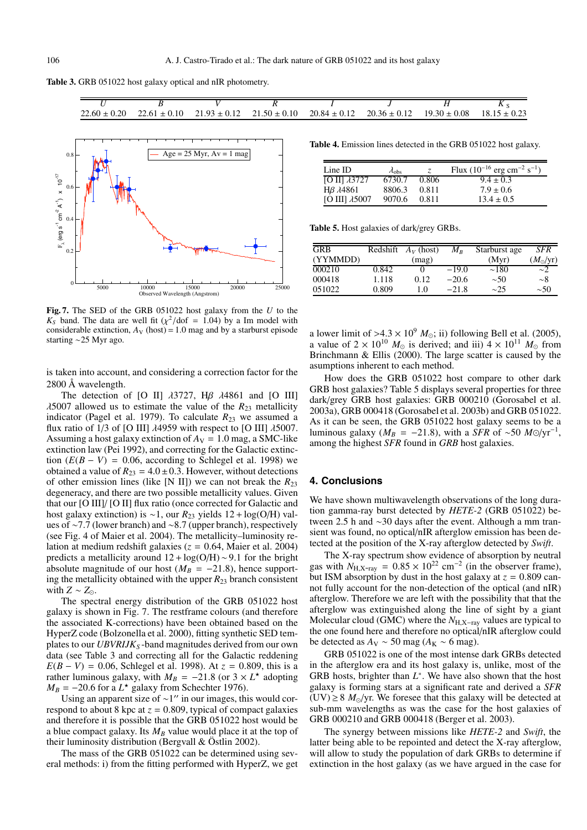

|  |  | $22.60 \pm 0.20$ $22.61 \pm 0.10$ $21.93 \pm 0.12$ $21.50 \pm 0.10$ $20.84 \pm 0.12$ $20.36 \pm 0.12$ $19.30 \pm 0.08$ $18.15 \pm 0.23$ |  |
|--|--|-----------------------------------------------------------------------------------------------------------------------------------------|--|



**Fig. 7.** The SED of the GRB 051022 host galaxy from the *U* to the  $K<sub>S</sub>$  band. The data are well fit ( $\chi^2$ /dof = 1.04) by a Im model with considerable extinction,  $A_V$  (host) = 1.0 mag and by a starburst episode starting ∼25 Myr ago.

is taken into account, and considering a correction factor for the 2800 Å wavelength.

The detection of [O II]  $\lambda$ 3727, H $\beta$   $\lambda$ 4861 and [O III]  $\lambda$ 5007 allowed us to estimate the value of the  $R_{23}$  metallicity indicator (Pagel et al. 1979). To calculate  $R_{23}$  we assumed a flux ratio of 1/3 of [O III]  $\lambda$ 4959 with respect to [O III]  $\lambda$ 5007. Assuming a host galaxy extinction of  $A_V = 1.0$  mag, a SMC-like extinction law (Pei 1992), and correcting for the Galactic extinction  $(E(B - V) = 0.06$ , according to Schlegel et al. 1998) we obtained a value of  $R_{23} = 4.0 \pm 0.3$ . However, without detections of other emission lines (like [N II]) we can not break the  $R_{23}$ degeneracy, and there are two possible metallicity values. Given that our [O III]/ [O II] flux ratio (once corrected for Galactic and host galaxy extinction) is ∼1, our *R*<sup>23</sup> yields 12 + log(O/H) values of ∼7.7 (lower branch) and ∼8.7 (upper branch), respectively (see Fig. 4 of Maier et al. 2004). The metallicity–luminosity relation at medium redshift galaxies (*z* = 0.64, Maier et al. 2004) predicts a metallicity around  $12 + \log(O/H) \sim 9.1$  for the bright absolute magnitude of our host ( $M_B$  = -21.8), hence supporting the metallicity obtained with the upper *R*<sup>23</sup> branch consistent with  $Z \sim Z_{\odot}$ .

The spectral energy distribution of the GRB 051022 host galaxy is shown in Fig. 7. The restframe colours (and therefore the associated K-corrections) have been obtained based on the HyperZ code (Bolzonella et al. 2000), fitting synthetic SED templates to our *UBVRIJK<sub>S</sub>*-band magnitudes derived from our own data (see Table 3 and correcting all for the Galactic reddening  $E(B - V) = 0.06$ , Schlegel et al. 1998). At  $z = 0.809$ , this is a rather luminous galaxy, with  $M_B = -21.8$  (or  $3 \times L^*$  adopting  $M_B = -20.6$  for a  $L^*$  galaxy from Schechter 1976).

Using an apparent size of  $\sim$ 1" in our images, this would correspond to about 8 kpc at  $z = 0.809$ , typical of compact galaxies and therefore it is possible that the GRB 051022 host would be a blue compact galaxy. Its  $M_B$  value would place it at the top of their luminosity distribution (Bergvall & Östlin 2002).

The mass of the GRB 051022 can be determined using several methods: i) from the fitting performed with HyperZ, we get

**Table 4.** Emission lines detected in the GRB 051022 host galaxy.

| $Line$ ID               | $\lambda_{\rm obs}$ | Z.    | Flux $(10^{-16}$ erg cm <sup>-2</sup> s <sup>-1</sup> ) |
|-------------------------|---------------------|-------|---------------------------------------------------------|
| $[O II]$ $\lambda$ 3727 | 6730.7              | 0.806 | $9.4 \pm 0.3$                                           |
| Hβ $λ$ 4861             | 8806.3              | 0.811 | $7.9 \pm 0.6$                                           |
| [O III] $\lambda$ 5007  | 9070.6              | 0.811 | $13.4 \pm 0.5$                                          |

**Table 5.** Host galaxies of dark/grey GRBs.

| <b>GRB</b> |       | Redshift $A_V$ (host) | $M_{B}$ | Starburst age | <b>SFR</b>       |
|------------|-------|-----------------------|---------|---------------|------------------|
| (YYMMDD)   |       | (mag)                 |         | (Myr)         | $(M_{\odot}/yr)$ |
| 000210     | 0.842 | $^{(1)}$              | $-19.0$ | $\sim$ 180    | $\sim$ 2         |
| 000418     | 1.118 | 0.12                  | $-20.6$ | $\sim 50$     | ~28              |
| 051022     | 0.809 | 1.0                   | $-21.8$ | $\sim$ 25     | $\sim 50$        |

a lower limit of  $>4.3 \times 10^9$  *M*<sub>o</sub>; ii) following Bell et al. (2005), a value of  $2 \times 10^{10}$  *M*<sub> $\odot$ </sub> is derived; and iii)  $4 \times 10^{11}$  *M*<sub> $\odot$ </sub> from Brinchmann & Ellis (2000). The large scatter is caused by the asumptions inherent to each method.

How does the GRB 051022 host compare to other dark GRB host galaxies? Table 5 displays several properties for three dark/grey GRB host galaxies: GRB 000210 (Gorosabel et al. 2003a), GRB 000418 (Gorosabel et al. 2003b) and GRB 051022. As it can be seen, the GRB 051022 host galaxy seems to be a luminous galaxy ( $M_B = -21.8$ ), with a *SFR* of ~50  $M\odot/\text{yr}^{-1}$ , among the highest *SFR* found in *GRB* host galaxies.

# **4. Conclusions**

We have shown multiwavelength observations of the long duration gamma-ray burst detected by *HETE-2* (GRB 051022) between 2.5 h and ∼30 days after the event. Although a mm transient was found, no optical/nIR afterglow emission has been detected at the position of the X-ray afterglow detected by *Swift*.

The X-ray spectrum show evidence of absorption by neutral gas with  $N_{\text{H,X-ray}} = 0.85 \times 10^{22} \text{ cm}^{-2}$  (in the observer frame), but ISM absorption by dust in the host galaxy at  $z = 0.809$  cannot fully account for the non-detection of the optical (and nIR) afterglow. Therefore we are left with the possibility that that the afterglow was extinguished along the line of sight by a giant Molecular cloud (GMC) where the *N*<sub>H,X-ray</sub> values are typical to the one found here and therefore no optical/nIR afterglow could be detected as  $A_V \sim 50$  mag ( $A_K \sim 6$  mag).

GRB 051022 is one of the most intense dark GRBs detected in the afterglow era and its host galaxy is, unlike, most of the GRB hosts, brighter than *L*∗. We have also shown that the host galaxy is forming stars at a significant rate and derived a *SFR* (UV)  $\geq$  8  $M_{\odot}$ /yr. We foresee that this galaxy will be detected at sub-mm wavelengths as was the case for the host galaxies of GRB 000210 and GRB 000418 (Berger et al. 2003).

The synergy between missions like *HETE-2* and *Swift*, the latter being able to be repointed and detect the X-ray afterglow, will allow to study the population of dark GRBs to determine if extinction in the host galaxy (as we have argued in the case for